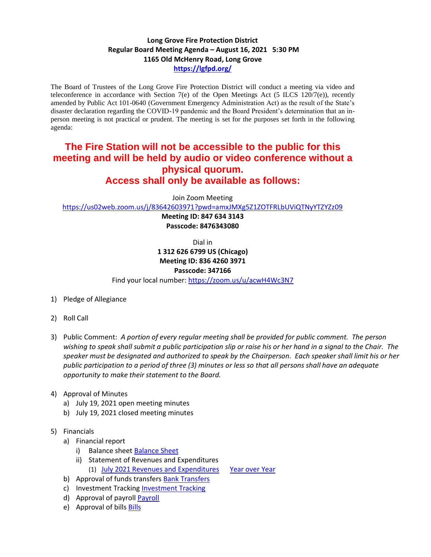## **Long Grove Fire Protection District Regular Board Meeting Agenda – August 16, 2021 5:30 PM 1165 Old McHenry Road, Long Grove <https://lgfpd.org/>**

The Board of Trustees of the Long Grove Fire Protection District will conduct a meeting via video and teleconference in accordance with Section 7(e) of the Open Meetings Act (5 ILCS 120/7(e)), recently amended by Public Act 101-0640 (Government Emergency Administration Act) as the result of the State's disaster declaration regarding the COVID-19 pandemic and the Board President's determination that an inperson meeting is not practical or prudent. The meeting is set for the purposes set forth in the following agenda:

## **The Fire Station will not be accessible to the public for this meeting and will be held by audio or video conference without a physical quorum. Access shall only be available as follows:**

Join Zoom Meeting

<https://us02web.zoom.us/j/83642603971?pwd=amxJMXg5Z1ZOTFRLbUViQTNyYTZYZz09>

**Meeting ID: 847 634 3143 Passcode: 8476343080**

Dial in

**1 312 626 6799 US (Chicago) Meeting ID: 836 4260 3971**

## **Passcode: 347166**

Find your local number[: https://zoom.us/u/acwH4Wc3N7](https://zoom.us/u/acwH4Wc3N7)

- 1) Pledge of Allegiance
- 2) Roll Call
- 3) Public Comment: *A portion of every regular meeting shall be provided for public comment. The person wishing to speak shall submit a public participation slip or raise his or her hand in a signal to the Chair. The speaker must be designated and authorized to speak by the Chairperson. Each speaker shall limit his or her public participation to a period of three (3) minutes or less so that all persons shall have an adequate opportunity to make their statement to the Board.*
- 4) Approval of Minutes
	- a) July 19, 2021 open meeting minutes
	- b) July 19, 2021 closed meeting minutes
- 5) Financials
	- a) Financial report
		- i) Balance sheet [Balance Sheet](https://itgophers.sharepoint.com/:b:/s/SharedDocs/EbLBRT5vhv9MomxMrBei6fMBlNRv8O0P-36ld6N6e5laoA?e=K6UdPy)
		- ii) Statement of Revenues and Expenditures
			- (1) July [2021 Revenues and Expenditures](https://itgophers.sharepoint.com/:b:/s/SharedDocs/EbFnhtxQGMhDhREoqNp37OoBikeZpEcKkjKhQce38jSgeQ?e=moWYNI) [Year over Year](https://itgophers.sharepoint.com/:b:/s/SharedDocs/Ee_7_wuFhY5Gpe4kF2XaDXEB6SB5VDhN7oZt2MHmKTEyRw?e=dy8bfA)
	- b) Approval of funds transfers [Bank Transfers](https://itgophers.sharepoint.com/:b:/s/SharedDocs/EcxZ4TEQxZFGsG8fDZMgTsUB-sj61efLd5X3EMDdD2jBPA?e=uK8Sck)
	- c) Investment Tracking [Investment Tracking](https://itgophers.sharepoint.com/:b:/s/SharedDocs/ESHnA1udwx1LniDuDzJbWv8BLxdVnMgEGeeXMZ49r2Qsnw?e=mIwdG7)
	- d) Approval of payrol[l Payroll](https://itgophers.sharepoint.com/:b:/s/SharedDocs/EWFN01DPn6ZCt1PQV-JCiegBdgd9dPQ0w0fVeip47TbvYQ?e=Cjrinq)
	- e) Approval of bills [Bills](https://itgophers.sharepoint.com/:b:/s/SharedDocs/Eb3raAViHa1EkHFy2PLH4WUBAspqQBryETQ6A3aNcRDHTg?e=XRsgY8)